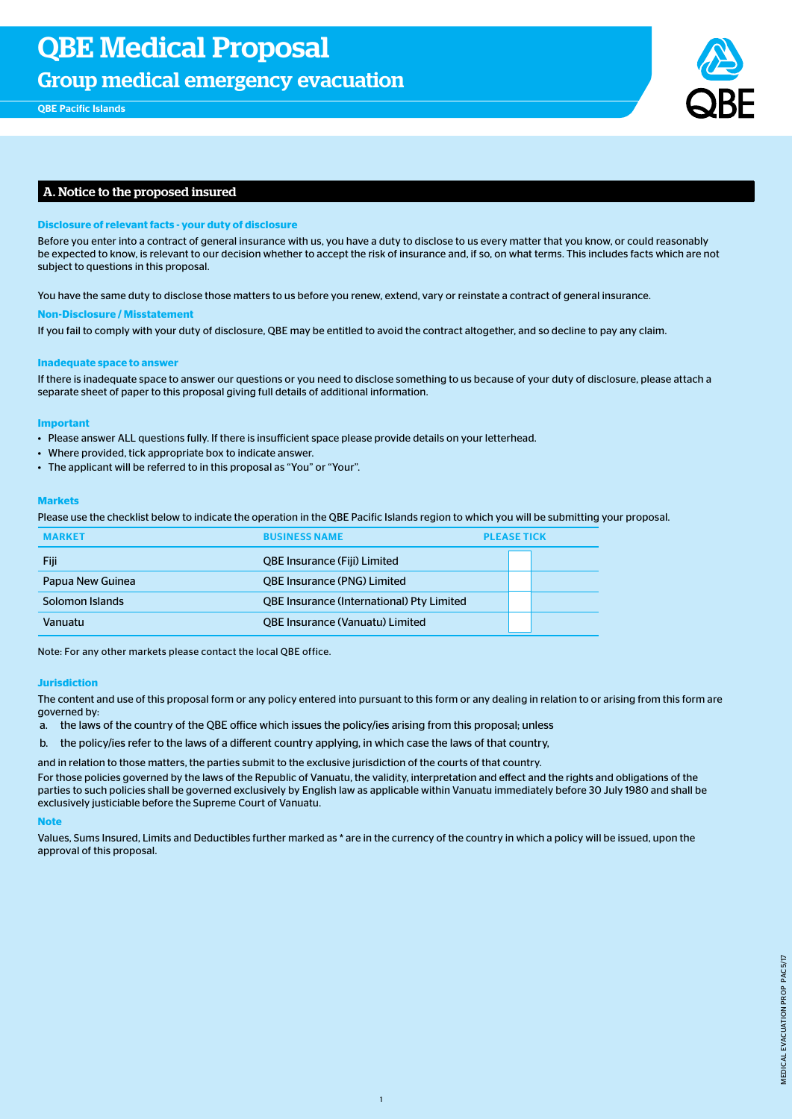Group medical emergency evacuation



# A. Notice to the proposed insured

## **Disclosure of relevant facts - your duty of disclosure**

Before you enter into a contract of general insurance with us, you have a duty to disclose to us every matter that you know, or could reasonably be expected to know, is relevant to our decision whether to accept the risk of insurance and, if so, on what terms. This includes facts which are not subject to questions in this proposal.

You have the same duty to disclose those matters to us before you renew, extend, vary or reinstate a contract of general insurance.

### **Non-Disclosure / Misstatement**

If you fail to comply with your duty of disclosure, QBE may be entitled to avoid the contract altogether, and so decline to pay any claim.

## **Inadequate space to answer**

If there is inadequate space to answer our questions or you need to disclose something to us because of your duty of disclosure, please attach a separate sheet of paper to this proposal giving full details of additional information.

### **Important**

- Please answer ALL questions fully. If there is insufficient space please provide details on your letterhead.
- Where provided, tick appropriate box to indicate answer.
- The applicant will be referred to in this proposal as "You" or "Your".

## **Markets**

Please use the checklist below to indicate the operation in the QBE Pacific Islands region to which you will be submitting your proposal.

|                  | <b>RUSINESS NAME</b>                             | <b>PLEASE TICK</b> |
|------------------|--------------------------------------------------|--------------------|
| Fiji             | <b>QBE Insurance (Fiji) Limited</b>              |                    |
| Papua New Guinea | <b>QBE Insurance (PNG) Limited</b>               |                    |
| Solomon Islands  | <b>QBE Insurance (International) Pty Limited</b> |                    |
| Vanuatu          | <b>QBE Insurance (Vanuatu) Limited</b>           |                    |

Note: For any other markets please contact the local QBE office.

### **Jurisdiction**

The content and use of this proposal form or any policy entered into pursuant to this form or any dealing in relation to or arising from this form are governed by:

- a. the laws of the country of the QBE office which issues the policy/ies arising from this proposal; unless
- b. the policy/ies refer to the laws of a different country applying, in which case the laws of that country,

and in relation to those matters, the parties submit to the exclusive jurisdiction of the courts of that country.

For those policies governed by the laws of the Republic of Vanuatu, the validity, interpretation and effect and the rights and obligations of the parties to such policies shall be governed exclusively by English law as applicable within Vanuatu immediately before 30 July 1980 and shall be exclusively justiciable before the Supreme Court of Vanuatu.

### **Note**

Values, Sums Insured, Limits and Deductibles further marked as \* are in the currency of the country in which a policy will be issued, upon the approval of this proposal.

1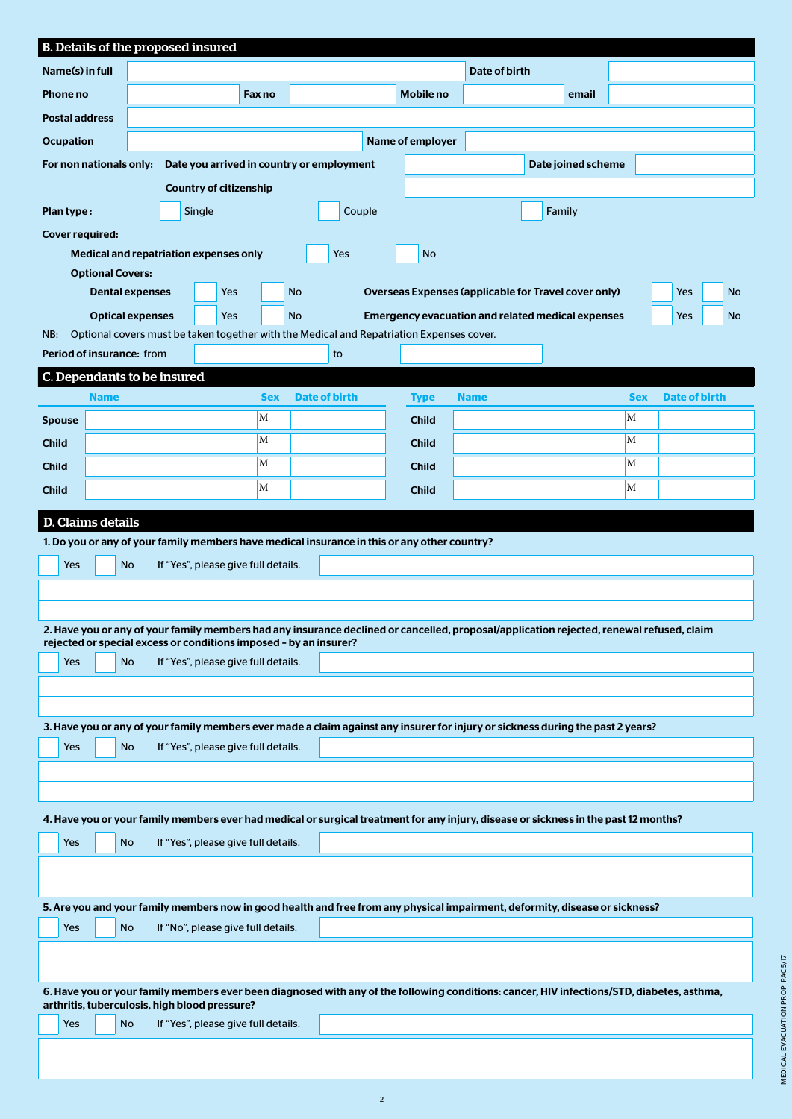| B. Details of the proposed insured                                                                                                                                                          |     |             |                                                                         |  |                                     |            |           |                      |  |                                                                                                                                          |             |               |       |            |                      |    |
|---------------------------------------------------------------------------------------------------------------------------------------------------------------------------------------------|-----|-------------|-------------------------------------------------------------------------|--|-------------------------------------|------------|-----------|----------------------|--|------------------------------------------------------------------------------------------------------------------------------------------|-------------|---------------|-------|------------|----------------------|----|
| Name(s) in full                                                                                                                                                                             |     |             |                                                                         |  |                                     |            |           |                      |  |                                                                                                                                          |             | Date of birth |       |            |                      |    |
| Phone no                                                                                                                                                                                    |     |             |                                                                         |  |                                     | Fax no     |           |                      |  | Mobile no                                                                                                                                |             |               | email |            |                      |    |
| <b>Postal address</b>                                                                                                                                                                       |     |             |                                                                         |  |                                     |            |           |                      |  |                                                                                                                                          |             |               |       |            |                      |    |
| Name of employer<br><b>Ocupation</b>                                                                                                                                                        |     |             |                                                                         |  |                                     |            |           |                      |  |                                                                                                                                          |             |               |       |            |                      |    |
| Date you arrived in country or employment<br>Date joined scheme<br>For non nationals only:                                                                                                  |     |             |                                                                         |  |                                     |            |           |                      |  |                                                                                                                                          |             |               |       |            |                      |    |
| <b>Country of citizenship</b>                                                                                                                                                               |     |             |                                                                         |  |                                     |            |           |                      |  |                                                                                                                                          |             |               |       |            |                      |    |
|                                                                                                                                                                                             |     |             |                                                                         |  |                                     |            |           |                      |  |                                                                                                                                          |             |               |       |            |                      |    |
| Plan type:<br>Single<br>Couple<br>Family                                                                                                                                                    |     |             |                                                                         |  |                                     |            |           |                      |  |                                                                                                                                          |             |               |       |            |                      |    |
| <b>Cover required:</b><br>Medical and repatriation expenses only<br><b>Yes</b><br><b>No</b>                                                                                                 |     |             |                                                                         |  |                                     |            |           |                      |  |                                                                                                                                          |             |               |       |            |                      |    |
|                                                                                                                                                                                             |     |             | <b>Optional Covers:</b>                                                 |  |                                     |            |           |                      |  |                                                                                                                                          |             |               |       |            |                      |    |
|                                                                                                                                                                                             |     |             | <b>Dental expenses</b>                                                  |  | Yes                                 |            | <b>No</b> |                      |  | Overseas Expenses (applicable for Travel cover only)                                                                                     |             |               |       |            | <b>Yes</b>           | No |
|                                                                                                                                                                                             |     |             | <b>Optical expenses</b>                                                 |  | Yes                                 |            | <b>No</b> |                      |  | <b>Emergency evacuation and related medical expenses</b>                                                                                 |             |               |       |            | Yes                  | No |
| NB:                                                                                                                                                                                         |     |             |                                                                         |  |                                     |            |           |                      |  | Optional covers must be taken together with the Medical and Repatriation Expenses cover.                                                 |             |               |       |            |                      |    |
|                                                                                                                                                                                             |     |             | Period of insurance: from                                               |  |                                     |            |           | to                   |  |                                                                                                                                          |             |               |       |            |                      |    |
|                                                                                                                                                                                             |     |             | C. Dependants to be insured                                             |  |                                     |            |           |                      |  |                                                                                                                                          |             |               |       |            |                      |    |
|                                                                                                                                                                                             |     | <b>Name</b> |                                                                         |  |                                     | <b>Sex</b> |           | <b>Date of birth</b> |  | <b>Type</b>                                                                                                                              | <b>Name</b> |               |       | <b>Sex</b> | <b>Date of birth</b> |    |
| <b>Spouse</b>                                                                                                                                                                               |     |             |                                                                         |  |                                     | M          |           |                      |  | <b>Child</b>                                                                                                                             |             |               |       | M          |                      |    |
| <b>Child</b>                                                                                                                                                                                |     |             |                                                                         |  |                                     | M          |           |                      |  | <b>Child</b>                                                                                                                             |             |               |       | M          |                      |    |
| <b>Child</b>                                                                                                                                                                                |     |             |                                                                         |  |                                     | M          |           |                      |  | <b>Child</b>                                                                                                                             |             |               |       | M          |                      |    |
| <b>Child</b>                                                                                                                                                                                |     |             |                                                                         |  |                                     | M          |           |                      |  | <b>Child</b>                                                                                                                             |             |               |       | M          |                      |    |
| <b>D. Claims details</b>                                                                                                                                                                    |     |             |                                                                         |  |                                     |            |           |                      |  |                                                                                                                                          |             |               |       |            |                      |    |
|                                                                                                                                                                                             |     |             |                                                                         |  |                                     |            |           |                      |  | 1. Do you or any of your family members have medical insurance in this or any other country?                                             |             |               |       |            |                      |    |
|                                                                                                                                                                                             | Yes |             | <b>No</b>                                                               |  |                                     |            |           |                      |  |                                                                                                                                          |             |               |       |            |                      |    |
| If "Yes", please give full details.                                                                                                                                                         |     |             |                                                                         |  |                                     |            |           |                      |  |                                                                                                                                          |             |               |       |            |                      |    |
|                                                                                                                                                                                             |     |             |                                                                         |  |                                     |            |           |                      |  |                                                                                                                                          |             |               |       |            |                      |    |
|                                                                                                                                                                                             |     |             |                                                                         |  |                                     |            |           |                      |  | 2. Have you or any of your family members had any insurance declined or cancelled, proposal/application rejected, renewal refused, claim |             |               |       |            |                      |    |
|                                                                                                                                                                                             | Yes |             | rejected or special excess or conditions imposed - by an insurer?<br>No |  | If "Yes", please give full details. |            |           |                      |  |                                                                                                                                          |             |               |       |            |                      |    |
|                                                                                                                                                                                             |     |             |                                                                         |  |                                     |            |           |                      |  |                                                                                                                                          |             |               |       |            |                      |    |
|                                                                                                                                                                                             |     |             |                                                                         |  |                                     |            |           |                      |  |                                                                                                                                          |             |               |       |            |                      |    |
|                                                                                                                                                                                             |     |             |                                                                         |  |                                     |            |           |                      |  | 3. Have you or any of your family members ever made a claim against any insurer for injury or sickness during the past 2 years?          |             |               |       |            |                      |    |
|                                                                                                                                                                                             | Yes |             | <b>No</b>                                                               |  | If "Yes", please give full details. |            |           |                      |  |                                                                                                                                          |             |               |       |            |                      |    |
|                                                                                                                                                                                             |     |             |                                                                         |  |                                     |            |           |                      |  |                                                                                                                                          |             |               |       |            |                      |    |
|                                                                                                                                                                                             |     |             |                                                                         |  |                                     |            |           |                      |  |                                                                                                                                          |             |               |       |            |                      |    |
|                                                                                                                                                                                             |     |             |                                                                         |  |                                     |            |           |                      |  | 4. Have you or your family members ever had medical or surgical treatment for any injury, disease or sickness in the past 12 months?     |             |               |       |            |                      |    |
|                                                                                                                                                                                             | Yes |             | <b>No</b>                                                               |  | If "Yes", please give full details. |            |           |                      |  |                                                                                                                                          |             |               |       |            |                      |    |
|                                                                                                                                                                                             |     |             |                                                                         |  |                                     |            |           |                      |  |                                                                                                                                          |             |               |       |            |                      |    |
|                                                                                                                                                                                             |     |             |                                                                         |  |                                     |            |           |                      |  |                                                                                                                                          |             |               |       |            |                      |    |
| 5. Are you and your family members now in good health and free from any physical impairment, deformity, disease or sickness?                                                                |     |             |                                                                         |  |                                     |            |           |                      |  |                                                                                                                                          |             |               |       |            |                      |    |
|                                                                                                                                                                                             | Yes |             | <b>No</b>                                                               |  | If "No", please give full details.  |            |           |                      |  |                                                                                                                                          |             |               |       |            |                      |    |
|                                                                                                                                                                                             |     |             |                                                                         |  |                                     |            |           |                      |  |                                                                                                                                          |             |               |       |            |                      |    |
|                                                                                                                                                                                             |     |             |                                                                         |  |                                     |            |           |                      |  |                                                                                                                                          |             |               |       |            |                      |    |
| 6. Have you or your family members ever been diagnosed with any of the following conditions: cancer, HIV infections/STD, diabetes, asthma,<br>arthritis, tuberculosis, high blood pressure? |     |             |                                                                         |  |                                     |            |           |                      |  |                                                                                                                                          |             |               |       |            |                      |    |
|                                                                                                                                                                                             |     |             |                                                                         |  |                                     |            |           |                      |  |                                                                                                                                          |             |               |       |            |                      |    |
|                                                                                                                                                                                             | Yes |             | No                                                                      |  | If "Yes", please give full details. |            |           |                      |  |                                                                                                                                          |             |               |       |            |                      |    |
|                                                                                                                                                                                             |     |             |                                                                         |  |                                     |            |           |                      |  |                                                                                                                                          |             |               |       |            |                      |    |